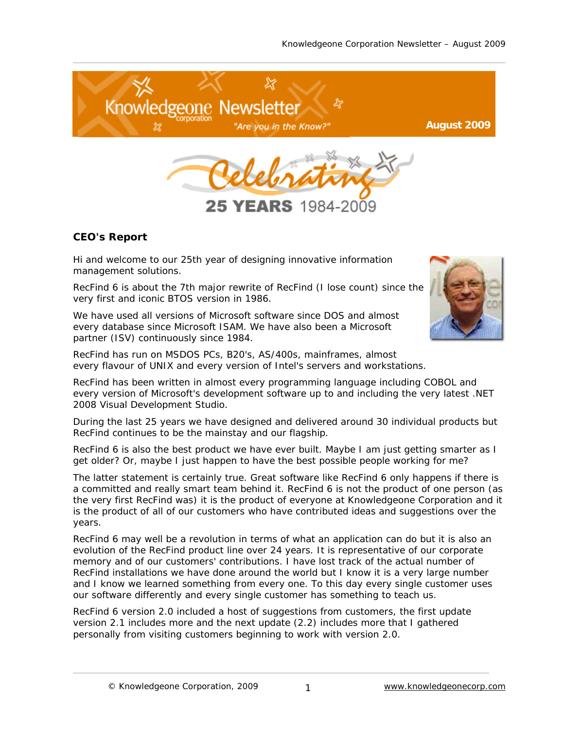

YEARS 1984

## **CEO's Report**

Hi and welcome to our 25th year of designing innovative information management solutions.

RecFind 6 is about the 7th major rewrite of RecFind (I lose count) since the very first and iconic BTOS version in 1986.

We have used all versions of Microsoft software since DOS and almost every database since Microsoft ISAM. We have also been a Microsoft partner (ISV) continuously since 1984.

RecFind has run on MSDOS PCs, B20's, AS/400s, mainframes, almost every flavour of UNIX and every version of Intel's servers and workstations.

RecFind has been written in almost every programming language including COBOL and every version of Microsoft's development software up to and including the very latest .NET 2008 Visual Development Studio.

During the last 25 years we have designed and delivered around 30 individual products but RecFind continues to be the mainstay and our flagship.

RecFind 6 is also the best product we have ever built. Maybe I am just getting smarter as I get older? Or, maybe I just happen to have the best possible people working for me?

The latter statement is certainly true. Great software like RecFind 6 only happens if there is a committed and really smart team behind it. RecFind 6 is not the product of one person (as the very first RecFind was) it is the product of everyone at Knowledgeone Corporation and it is the product of all of our customers who have contributed ideas and suggestions over the years.

RecFind 6 may well be a revolution in terms of what an application can do but it is also an evolution of the RecFind product line over 24 years. It is representative of our corporate memory and of our customers' contributions. I have lost track of the actual number of RecFind installations we have done around the world but I know it is a very large number and I know we learned something from every one. To this day every single customer uses our software differently and every single customer has something to teach us.

RecFind 6 version 2.0 included a host of suggestions from customers, the first update version 2.1 includes more and the next update (2.2) includes more that I gathered personally from visiting customers beginning to work with version 2.0.

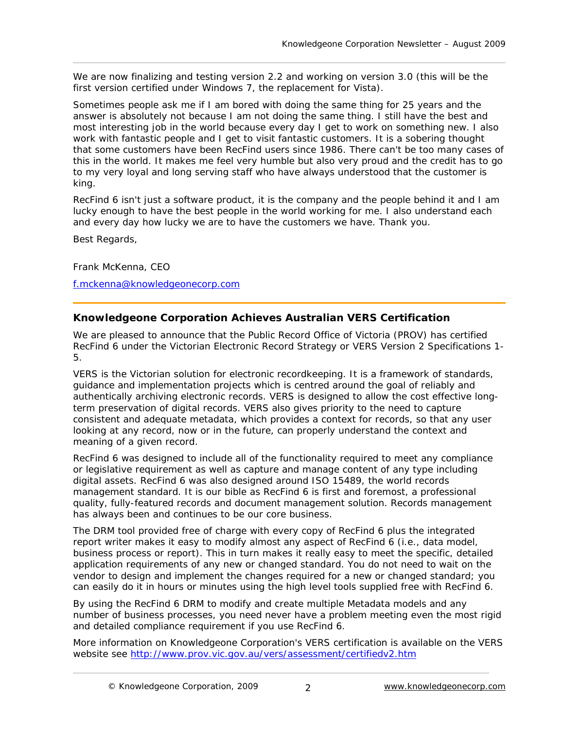We are now finalizing and testing version 2.2 and working on version 3.0 (this will be the first version certified under Windows 7, the replacement for Vista).

Sometimes people ask me if I am bored with doing the same thing for 25 years and the answer is absolutely not because I am not doing the same thing. I still have the best and most interesting job in the world because every day I get to work on something new. I also work with fantastic people and I get to visit fantastic customers. It is a sobering thought that some customers have been RecFind users since 1986. There can't be too many cases of this in the world. It makes me feel very humble but also very proud and the credit has to go to my very loyal and long serving staff who have always understood that the customer is king.

RecFind 6 isn't just a software product, it is the company and the people behind it and I am lucky enough to have the best people in the world working for me. I also understand each and every day how lucky we are to have the customers we have. Thank you.

Best Regards,

[Frank McKenna](mailto:f.mckenna@knowledgeonecorp.com), CEO

[f.mckenna@knowledgeonecorp.com](mailto:f.mckenna@knowledgeonecorp.com)

# **Knowledgeone Corporation Achieves Australian VERS Certification**

We are pleased to announce that the Public Record Office of Victoria (PROV) has certified [RecFind 6](http://www.knowledgeonecorp.com/products/recfind_6.htm) under the Victorian Electronic Record Strategy or VERS Version 2 Specifications 1- 5.

VERS is the Victorian solution for electronic recordkeeping. It is a framework of standards, guidance and implementation projects which is centred around the goal of reliably and authentically archiving electronic records. VERS is designed to allow the cost effective longterm preservation of digital records. VERS also gives priority to the need to capture consistent and adequate metadata, which provides a context for records, so that any user looking at any record, now or in the future, can properly understand the context and meaning of a given record.

RecFind 6 was designed to include all of the functionality required to meet any compliance or legislative requirement as well as capture and manage content of any type including digital assets. RecFind 6 was also designed around ISO 15489, the world records management standard. It is our bible as RecFind 6 is first and foremost, a professional quality, fully-featured records and document management solution. Records management has always been and continues to be our core business.

The [DRM](http://www.knowledgeonecorp.com/products/drm.htm) tool provided free of charge with every copy of RecFind 6 plus the integrated report writer makes it easy to modify almost any aspect of RecFind 6 (i.e., data model, business process or report). This in turn makes it really easy to meet the specific, detailed application requirements of any new or changed standard. You do not need to wait on the vendor to design and implement the changes required for a new or changed standard; you can easily do it in hours or minutes using the high level tools supplied free with RecFind 6.

By using the RecFind 6 DRM to modify and create multiple Metadata models and any number of business processes, you need never have a problem meeting even the most rigid and detailed compliance requirement if you use RecFind 6.

More information on Knowledgeone Corporation's VERS certification is available on the VERS website see <http://www.prov.vic.gov.au/vers/assessment/certifiedv2.htm>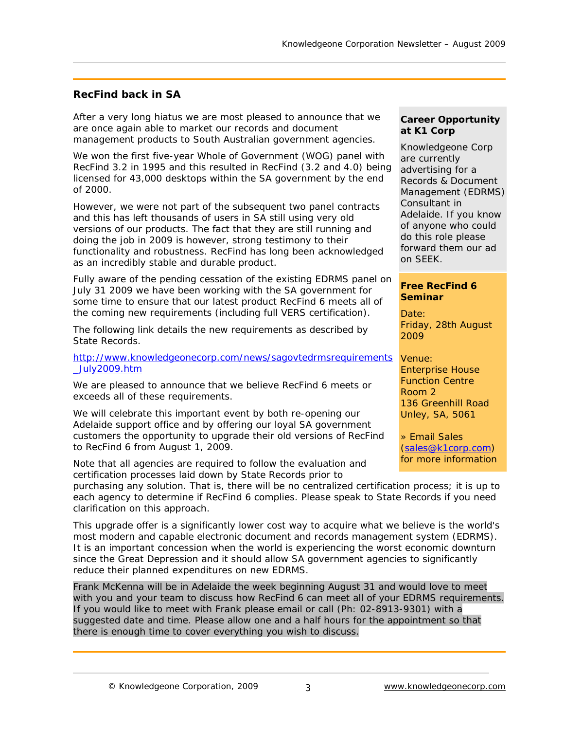### **RecFind back in SA**

After a very long hiatus we are most pleased to announce that we are once again able to market our records and document management products to South Australian government agencies.

We won the first five-year Whole of Government (WOG) panel with RecFind 3.2 in 1995 and this resulted in RecFind (3.2 and 4.0) being licensed for 43,000 desktops within the SA government by the end of 2000.

However, we were not part of the subsequent two panel contracts and this has left thousands of users in SA still using very old versions of our products. The fact that they are still running and doing the job in 2009 is however, strong testimony to their functionality and robustness. RecFind has long been acknowledged as an incredibly stable and durable product.

Fully aware of the pending cessation of the existing EDRMS panel on July 31 2009 we have been working with the SA government for some time to ensure that our latest product RecFind 6 meets all of the coming new requirements (including full VERS certification).

The following link details the new requirements as described by State Records.

[http://www.knowledgeonecorp.com/news/sagovtedrmsrequirements](http://www.knowledgeonecorp.com/news/sagovtedrmsrequirements_July2009.htm) Venue: [\\_July2009.htm](http://www.knowledgeonecorp.com/news/sagovtedrmsrequirements_July2009.htm)

We are pleased to announce that we believe RecFind 6 meets or exceeds all of these requirements.

We will celebrate this important event by both re-opening our Adelaide support office and by offering our loyal SA government customers the opportunity to upgrade their old versions of RecFind to RecFind 6 from August 1, 2009.

Note that all agencies are required to follow the evaluation and certification processes laid down by State Records prior to

purchasing any solution. That is, there will be no centralized certification process; it is up to each agency to determine if RecFind 6 complies. Please speak to State Records if you need clarification on this approach.

This upgrade offer is a significantly lower cost way to acquire what we believe is the world's most modern and capable electronic document and records management system (EDRMS). It is an important concession when the world is experiencing the worst economic downturn since the Great Depression and it should allow SA government agencies to significantly reduce their planned expenditures on new EDRMS.

Frank McKenna will be in Adelaide the week beginning August 31 and would love to meet with you and your team to discuss how RecFind 6 can meet all of your EDRMS requirements. If you would like to meet with Frank please [email](mailto:f.mckenna@knowledgeonecorp.com) or call (Ph: 02-8913-9301) with a suggested date and time. Please allow one and a half hours for the appointment so that there is enough time to cover everything you wish to discuss.

### **Career Opportunity at K1 Corp**

Knowledgeone Corp are currently advertising for a Records & Document Management (EDRMS) Consultant in Adelaide. If you know of anyone who could do this role please forward them our ad on SEEK.

### **Free RecFind 6 Seminar**

Date: Friday, 28th August 2009

Enterprise House Function Centre Room 2 136 Greenhill Road Unley, SA, 5061

» [Email](http://www.knowledgeonecorp.com/news/events.htm) Sales ([sales@k1corp.com](mailto:sales@k1corp.com)) for more information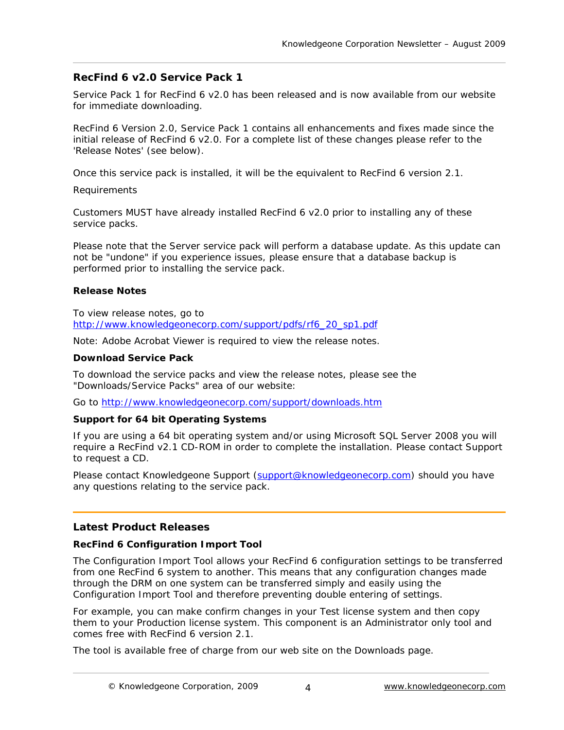## **RecFind 6 v2.0 Service Pack 1**

Service Pack 1 for RecFind 6 v2.0 has been released and is now available from our website for immediate downloading.

RecFind 6 Version 2.0, Service Pack 1 contains all enhancements and fixes made since the initial release of RecFind 6 v2.0. For a complete list of these changes please refer to the 'Release Notes' (see below).

Once this service pack is installed, it will be the equivalent to RecFind 6 version 2.1.

Requirements

Customers MUST have already installed RecFind 6 v2.0 prior to installing any of these service packs.

Please note that the Server service pack will perform a database update. As this update can not be "undone" if you experience issues, please ensure that a database backup is performed prior to installing the service pack.

### **Release Notes**

To view release notes, go to [http://www.knowledgeonecorp.com/support/pdfs/rf6\\_20\\_sp1.pdf](http://www.knowledgeonecorp.com/support/pdfs/rf6_20_sp1.pdf)

Note: Adobe Acrobat Viewer is required to view the release notes.

#### **Download Service Pack**

To download the service packs and view the release notes, please see the "Downloads/Service Packs" area of our website:

[Go](http://www.knowledgeonecorp.com/support/downloads.htm) to<http://www.knowledgeonecorp.com/support/downloads.htm>

### **Support for 64 bit Operating Systems**

If you are using a 64 bit operating system and/or using Microsoft SQL Server 2008 you will require a RecFind v2.1 CD-ROM in order to complete the installation. Please contact [Support](http://www.knowledgeonecorp.com/support/freeemailsupport.htm) to request a CD.

Please contact Knowledgeone [Support](http://www.knowledgeonecorp.com/support/freeemailsupport.htm) [\(support@knowledgeonecorp.com](mailto:support@knowledgeonecorp.com)) should you have any questions relating to the service pack.

### **Latest Product Releases**

### **RecFind 6 Configuration Import Tool**

The Configuration Import Tool allows your RecFind 6 configuration settings to be transferred from one RecFind 6 system to another. This means that any configuration changes made through the DRM on one system can be transferred simply and easily using the Configuration Import Tool and therefore preventing double entering of settings.

For example, you can make confirm changes in your Test license system and then copy them to your Production license system. This component is an Administrator only tool and comes free with RecFind 6 version 2.1.

The tool is available free of charge from our web site on the Downloads page.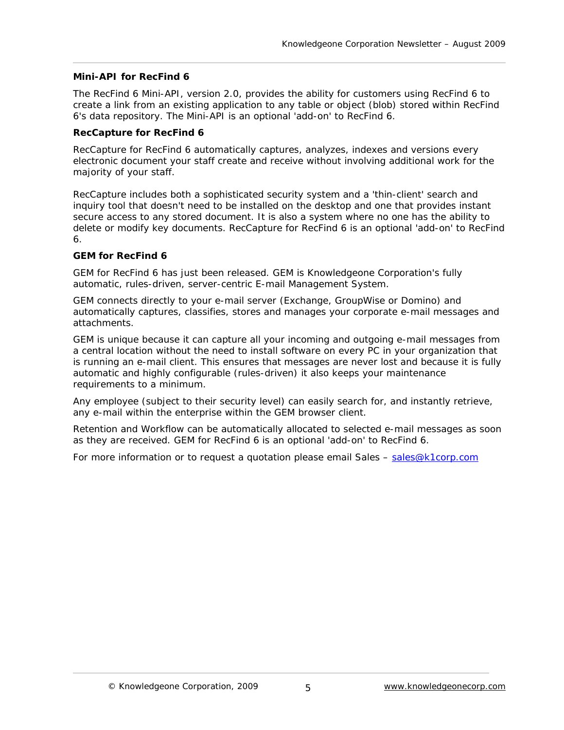#### **Mini-API for RecFind 6**

The RecFind 6 Mini-API, version 2.0, provides the ability for customers using RecFind 6 to create a link from an existing application to any table or object (blob) stored within RecFind 6's data repository. The Mini-API is an optional 'add-on' to RecFind 6.

#### **RecCapture for RecFind 6**

RecCapture for RecFind 6 automatically captures, analyzes, indexes and versions every electronic document your staff create and receive without involving additional work for the majority of your staff.

RecCapture includes both a sophisticated security system and a 'thin-client' search and inquiry tool that doesn't need to be installed on the desktop and one that provides instant secure access to any stored document. It is also a system where no one has the ability to delete or modify key documents. RecCapture for RecFind 6 is an optional 'add-on' to RecFind 6.

### **GEM for RecFind 6**

GEM for RecFind 6 has just been released. GEM is Knowledgeone Corporation's fully automatic, rules-driven, server-centric E-mail Management System.

GEM connects directly to your e-mail server (Exchange, GroupWise or Domino) and automatically captures, classifies, stores and manages your corporate e-mail messages and attachments.

GEM is unique because it can capture all your incoming and outgoing e-mail messages from a central location without the need to install software on every PC in your organization that is running an e-mail client. This ensures that messages are never lost and because it is fully automatic and highly configurable (rules-driven) it also keeps your maintenance requirements to a minimum.

Any employee (subject to their security level) can easily search for, and instantly retrieve, any e-mail within the enterprise within the GEM browser client.

Retention and Workflow can be automatically allocated to selected e-mail messages as soon as they are received. GEM for RecFind 6 is an optional 'add-on' to RecFind 6.

For more information or to request a quotation please email Sales – [sales@k1corp.com](mailto:sales@k1corp.com)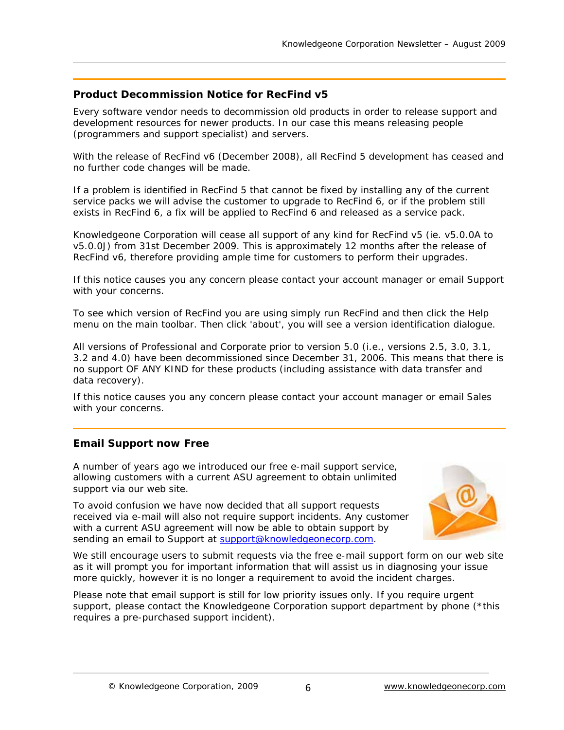## **Product Decommission Notice for RecFind v5**

Every software vendor needs to decommission old products in order to release support and development resources for newer products. In our case this means releasing people (programmers and support specialist) and servers.

With the release of RecFind v6 (December 2008), all RecFind 5 development has ceased and no further code changes will be made.

If a problem is identified in RecFind 5 that cannot be fixed by installing any of the current service packs we will advise the customer to upgrade to RecFind 6, or if the problem still exists in RecFind 6, a fix will be applied to RecFind 6 and released as a service pack.

Knowledgeone Corporation will cease all support of any kind for RecFind v5 (ie. v5.0.0A to v5.0.0J) from 31st December 2009. This is approximately 12 months after the release of RecFind v6, therefore providing ample time for customers to perform their upgrades.

If this notice causes you any concern please contact your account manager or email Support with your concerns.

To see which version of RecFind you are using simply run RecFind and then click the Help menu on the main toolbar. Then click 'about', you will see a version identification dialogue.

All versions of Professional and Corporate prior to version 5.0 (i.e., versions 2.5, 3.0, 3.1, 3.2 and 4.0) have been decommissioned since December 31, 2006. This means that there is no support OF ANY KIND for these products (including assistance with data transfer and data recovery).

If this notice causes you any concern please contact your account manager or email [Sales](http://www.knowledgeonecorp.com/contactus/emailus.htm?SalesAus||Upgrade%20Enquiry) with your concerns.

## **Email Support now Free**

A number of years ago we introduced our free e-mail support service, allowing customers with a current ASU agreement to obtain unlimited support via our web site.

To avoid confusion we have now decided that all support requests received via e-mail will also not require support incidents. Any customer with a current ASU agreement will now be able to obtain support by sending an email to Support at **support@knowledgeonecorp**.com.



We still encourage users to submit requests via the free e-mail support form on our web site as it will prompt you for important information that will assist us in diagnosing your issue more quickly, however it is no longer a requirement to avoid the incident charges.

Please note that email support is still for low priority issues only. If you require urgent support, please contact the Knowledgeone Corporation support department by phone (\*this requires a pre-purchased support incident).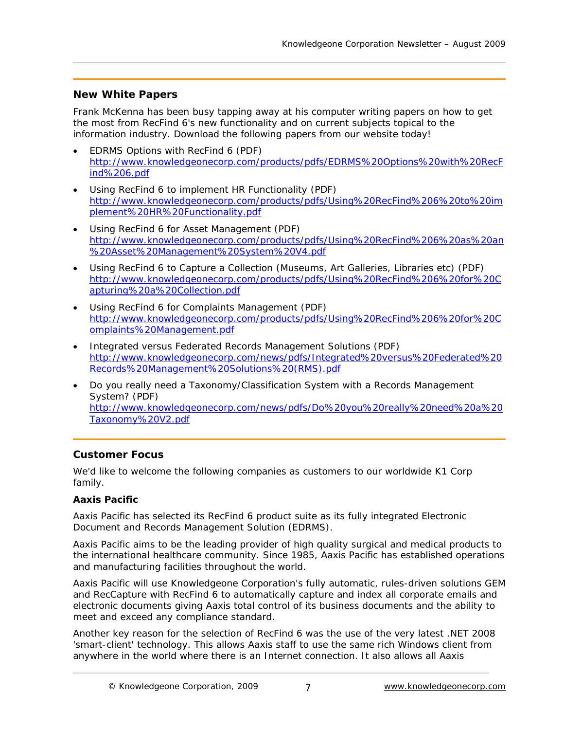# **New White Papers**

Frank McKenna has been busy tapping away at his computer writing papers on how to get the most from RecFind 6's new functionality and on current subjects topical to the information industry. Download the following papers from our website today!

- [EDRMS Options with RecFind 6](http://www.knowledgeonecorp.com/products/pdfs/EDRMS Options with RecFind 6.pdf) (PDF) [http://www.knowledgeonecorp.com/products/pdfs/EDRMS%20Options%20with%20RecF](http://www.knowledgeonecorp.com/products/pdfs/EDRMS Options with RecFind 6.pdf) [ind%206.pdf](http://www.knowledgeonecorp.com/products/pdfs/EDRMS Options with RecFind 6.pdf)
- [Using RecFind 6 to implement HR Functionality](http://www.knowledgeonecorp.com/products/pdfs/Using RecFind 6 to implement HR Functionality.pdf) (PDF) [http://www.knowledgeonecorp.com/products/pdfs/Using%20RecFind%206%20to%20im](http://www.knowledgeonecorp.com/products/pdfs/Using RecFind 6 to implement HR Functionality.pdf) [plement%20HR%20Functionality.pdf](http://www.knowledgeonecorp.com/products/pdfs/Using RecFind 6 to implement HR Functionality.pdf)
- [Using RecFind 6 for Asset Management](http://www.knowledgeonecorp.com/products/pdfs/Using RecFind 6 as an Asset Management System V4.pdf) (PDF) [http://www.knowledgeonecorp.com/products/pdfs/Using%20RecFind%206%20as%20an](http://www.knowledgeonecorp.com/products/pdfs/Using RecFind 6 as an Asset Management System V4.pdf) [%20Asset%20Management%20System%20V4.pdf](http://www.knowledgeonecorp.com/products/pdfs/Using RecFind 6 as an Asset Management System V4.pdf)
- Using RecFind 6 to [Capture a Collection \(Museums, Art Galleries, Libraries etc\)](http://www.knowledgeonecorp.com/products/pdfs/Using RecFind 6 for Capturing a Collection.pdf) (PDF) [http://www.knowledgeonecorp.com/products/pdfs/Using%20RecFind%206%20for%20C](http://www.knowledgeonecorp.com/products/pdfs/Using RecFind 6 for Capturing a Collection.pdf) [apturing%20a%20Collection.pdf](http://www.knowledgeonecorp.com/products/pdfs/Using RecFind 6 for Capturing a Collection.pdf)
- [Using RecFind 6 for Complaints Management](http://www.knowledgeonecorp.com/products/pdfs/Using RecFind 6 for Complaints Management.pdf) (PDF) [http://www.knowledgeonecorp.com/products/pdfs/Using%20RecFind%206%20for%20C](http://www.knowledgeonecorp.com/products/pdfs/Using RecFind 6 for Complaints Management.pdf) [omplaints%20Management.pdf](http://www.knowledgeonecorp.com/products/pdfs/Using RecFind 6 for Complaints Management.pdf)
- [Integrated versus Federated Records Management Solutions](http://www.knowledgeonecorp.com/news/pdfs/Integrated versus Federated Records Management Solutions (RMS).pdf) (PDF) [http://www.knowledgeonecorp.com/news/pdfs/Integrated%20versus%20Federated%20](http://www.knowledgeonecorp.com/news/pdfs/Integrated versus Federated Records Management Solutions (RMS).pdf) [Records%20Management%20Solutions%20\(RMS\).pdf](http://www.knowledgeonecorp.com/news/pdfs/Integrated versus Federated Records Management Solutions (RMS).pdf)
- [Do you really need a Taxonomy/Classification System with a Records Management](http://www.knowledgeonecorp.com/news/pdfs/Do you really need a Taxonomy V2.pdf)  [System?](http://www.knowledgeonecorp.com/news/pdfs/Do you really need a Taxonomy V2.pdf) (PDF) [http://www.knowledgeonecorp.com/news/pdfs/Do%20you%20really%20need%20a%20](http://www.knowledgeonecorp.com/news/pdfs/Do you really need a Taxonomy V2.pdf) [Taxonomy%20V2.pdf](http://www.knowledgeonecorp.com/news/pdfs/Do you really need a Taxonomy V2.pdf)

# **Customer Focus**

We'd like to welcome the following companies as customers to our worldwide K1 Corp family.

## **Aaxis Pacific**

Aaxis Pacific has selected its RecFind 6 product suite as its fully integrated Electronic Document and Records Management Solution (EDRMS).

Aaxis Pacific aims to be the leading provider of high quality surgical and medical products to the international healthcare community. Since 1985, Aaxis Pacific has established operations and manufacturing facilities throughout the world.

Aaxis Pacific will use Knowledgeone Corporation's fully automatic, rules-driven solutions GEM and RecCapture with RecFind 6 to automatically capture and index all corporate emails and electronic documents giving Aaxis total control of its business documents and the ability to meet and exceed any compliance standard.

Another key reason for the selection of RecFind 6 was the use of the very latest .NET 2008 'smart-client' technology. This allows Aaxis staff to use the same rich Windows client from anywhere in the world where there is an Internet connection. It also allows all Aaxis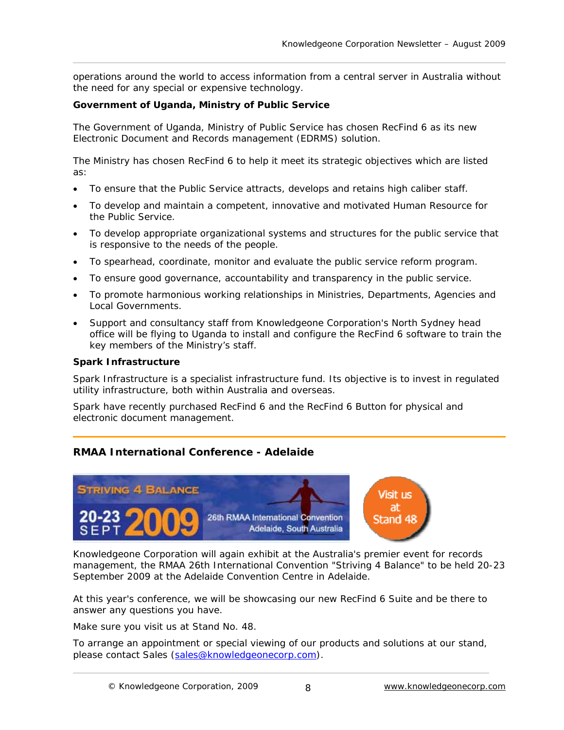operations around the world to access information from a central server in Australia without the need for any special or expensive technology.

### **Government of Uganda, Ministry of Public Service**

The Government of Uganda, Ministry of Public Service has chosen RecFind 6 as its new Electronic Document and Records management (EDRMS) solution.

The Ministry has chosen RecFind 6 to help it meet its strategic objectives which are listed as:

- To ensure that the Public Service attracts, develops and retains high caliber staff.
- To develop and maintain a competent, innovative and motivated Human Resource for the Public Service.
- To develop appropriate organizational systems and structures for the public service that is responsive to the needs of the people.
- To spearhead, coordinate, monitor and evaluate the public service reform program.
- To ensure good governance, accountability and transparency in the public service.
- To promote harmonious working relationships in Ministries, Departments, Agencies and Local Governments.
- Support and consultancy staff from Knowledgeone Corporation's North Sydney head office will be flying to Uganda to install and configure the RecFind 6 software to train the key members of the Ministry's staff.

### **Spark Infrastructure**

Spark Infrastructure is a specialist infrastructure fund. Its objective is to invest in regulated utility infrastructure, both within Australia and overseas.

Spark have recently purchased RecFind 6 and the RecFind 6 Button for physical and electronic document management.

## **RMAA International Conference - Adelaide**



Knowledgeone Corporation will again exhibit at the Australia's premier event for records management, the [RMAA 26th International Convention](http://www.rmaa.com.au/natcon2009/) "Striving 4 Balance" to be held 20-23 September 2009 at the Adelaide Convention Centre in Adelaide.

At this year's conference, we will be showcasing our new RecFind 6 Suite and be there to answer any questions you have.

Make sure you visit us at Stand No. 48.

To arrange an appointment or special viewing of our products and solutions at our stand, please contact [Sales \(sales@knowledgeonecorp.com\)](mailto:sales@knowledgeonecorp.com).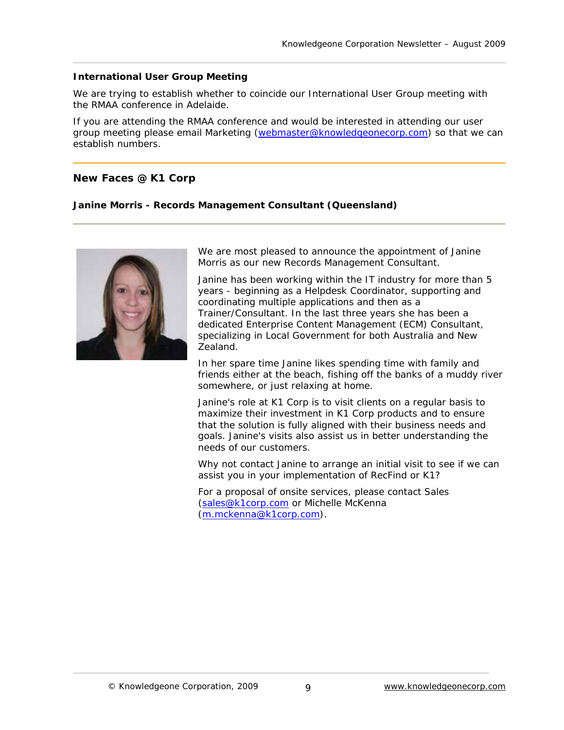#### **International User Group Meeting**

We are trying to establish whether to coincide our International User Group meeting with the RMAA conference in Adelaide.

If you are attending the RMAA conference and would be interested in attending our user group meeting please email [Marketing](mailto:s.forlico@knowledgeonecorp.com) ([webmaster@knowledgeonecorp.com\)](mailto:webmaster@knowledgeonecorp.com) so that we can establish numbers.

#### **New Faces @ K1 Corp**

#### **Janine Morris - Records Management Consultant (Queensland)**



We are most pleased to announce the appointment of Janine Morris as our new Records Management Consultant.

Janine has been working within the IT industry for more than 5 years - beginning as a Helpdesk Coordinator, supporting and coordinating multiple applications and then as a Trainer/Consultant. In the last three years she has been a dedicated Enterprise Content Management (ECM) Consultant, specializing in Local Government for both Australia and New Zealand.

In her spare time Janine likes spending time with family and friends either at the beach, fishing off the banks of a muddy river somewhere, or just relaxing at home.

Janine's role at K1 Corp is to visit clients on a regular basis to maximize their investment in K1 Corp products and to ensure that the solution is fully aligned with their business needs and goals. Janine's visits also assist us in better understanding the needs of our customers.

Why not contact [Janine](mailto:j.morris@knowledgeonecorp.com) to arrange an initial visit to see if we can assist you in your implementation of RecFind or K1?

For a proposal of onsite services, please contact [Sales](mailto:sales@knowledgeonecorp.com) ([sales@k1corp.com](mailto:sales@k1corp.com) or [Michelle McKenna](mailto:m.mckenna@k1corp.com) ([m.mckenna@k1corp.com](mailto:m.mckenna@k1corp.com)).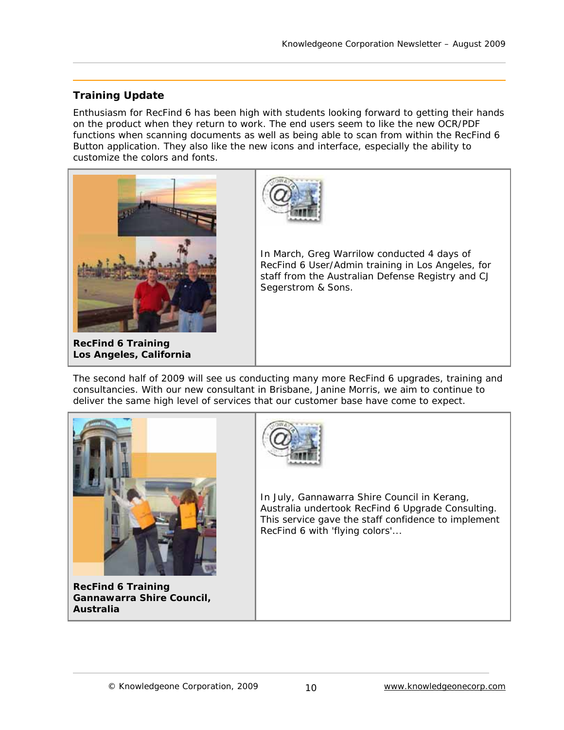# **Training Update**

Enthusiasm for RecFind 6 has been high with students looking forward to getting their hands on the product when they return to work. The end users seem to like the new OCR/PDF functions when scanning documents as well as being able to scan from within the RecFind 6 Button application. They also like the new icons and interface, especially the ability to customize the colors and fonts.



**RecFind 6 Training Los Angeles, California**



In March, Greg Warrilow conducted 4 days of RecFind 6 User/Admin training in Los Angeles, for staff from the Australian Defense Registry and CJ Segerstrom & Sons.

The second half of 2009 will see us conducting many more RecFind 6 upgrades, training and consultancies. With our new consultant in Brisbane, Janine Morris, we aim to continue to deliver the same high level of services that our customer base have come to expect.



**RecFind 6 Training Gannawarra Shire Council, Australia** 



In July, Gannawarra Shire Council in Kerang, Australia undertook RecFind 6 Upgrade Consulting. This service gave the staff confidence to implement RecFind 6 with 'flying colors'...